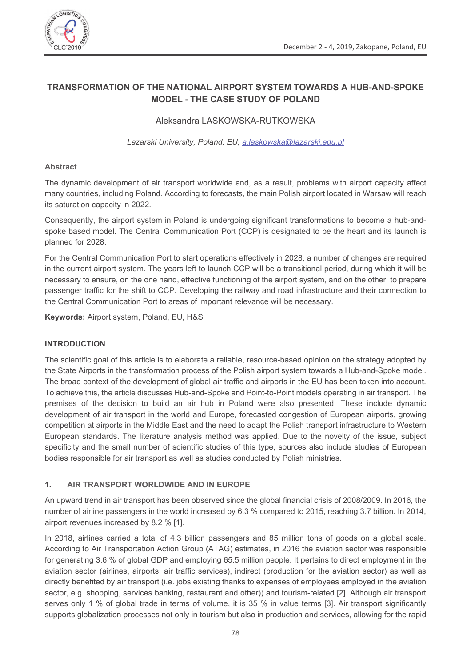

# TRANSFORMATION OF THE NATIONAL AIRPORT SYSTEM TOWARDS A HUB-AND-SPOKE **MODEL - THE CASE STUDY OF POLAND**

## Aleksandra LASKOWSKA-RUTKOWSKA

Lazarski University, Poland, EU, a.laskowska@lazarski.edu.pl

## **Abstract**

The dynamic development of air transport worldwide and, as a result, problems with airport capacity affect many countries, including Poland. According to forecasts, the main Polish airport located in Warsaw will reach its saturation capacity in 2022.

Consequently, the airport system in Poland is undergoing significant transformations to become a hub-andspoke based model. The Central Communication Port (CCP) is designated to be the heart and its launch is planned for 2028.

For the Central Communication Port to start operations effectively in 2028, a number of changes are required in the current airport system. The years left to launch CCP will be a transitional period, during which it will be necessary to ensure, on the one hand, effective functioning of the airport system, and on the other, to prepare passenger traffic for the shift to CCP. Developing the railway and road infrastructure and their connection to the Central Communication Port to areas of important relevance will be necessary.

Keywords: Airport system, Poland, EU, H&S

## **INTRODUCTION**

The scientific goal of this article is to elaborate a reliable, resource-based opinion on the strategy adopted by the State Airports in the transformation process of the Polish airport system towards a Hub-and-Spoke model. The broad context of the development of global air traffic and airports in the EU has been taken into account. To achieve this, the article discusses Hub-and-Spoke and Point-to-Point models operating in air transport. The premises of the decision to build an air hub in Poland were also presented. These include dynamic development of air transport in the world and Europe, forecasted congestion of European airports, growing competition at airports in the Middle East and the need to adapt the Polish transport infrastructure to Western European standards. The literature analysis method was applied. Due to the novelty of the issue, subject specificity and the small number of scientific studies of this type, sources also include studies of European bodies responsible for air transport as well as studies conducted by Polish ministries.

### $\mathbf{1}$ AIR TRANSPORT WORLDWIDE AND IN EUROPE

An upward trend in air transport has been observed since the global financial crisis of 2008/2009. In 2016, the number of airline passengers in the world increased by 6.3 % compared to 2015, reaching 3.7 billion. In 2014, airport revenues increased by 8.2 % [1].

In 2018, airlines carried a total of 4.3 billion passengers and 85 million tons of goods on a global scale. According to Air Transportation Action Group (ATAG) estimates, in 2016 the aviation sector was responsible for generating 3.6 % of global GDP and employing 65.5 million people. It pertains to direct employment in the aviation sector (airlines, airports, air traffic services), indirect (production for the aviation sector) as well as directly benefited by air transport (i.e. jobs existing thanks to expenses of employees employed in the aviation sector, e.g. shopping, services banking, restaurant and other)) and tourism-related [2]. Although air transport serves only 1 % of global trade in terms of volume, it is 35 % in value terms [3]. Air transport significantly supports globalization processes not only in tourism but also in production and services, allowing for the rapid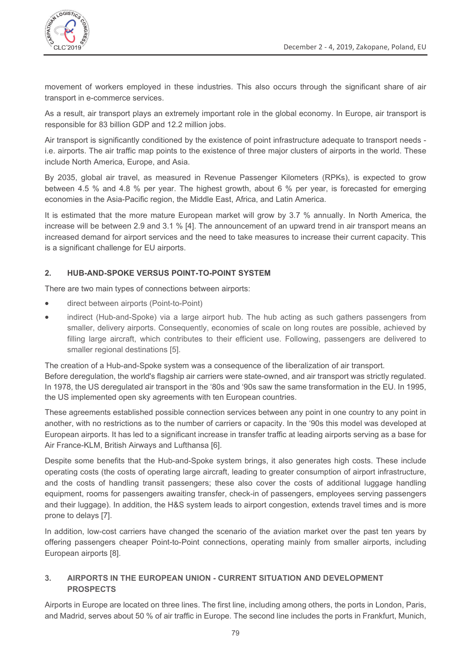

movement of workers employed in these industries. This also occurs through the significant share of air transport in e-commerce services.

As a result, air transport plays an extremely important role in the global economy. In Europe, air transport is responsible for 83 billion GDP and 12.2 million jobs.

Air transport is significantly conditioned by the existence of point infrastructure adequate to transport needs i.e. airports. The air traffic map points to the existence of three major clusters of airports in the world. These include North America, Europe, and Asia.

By 2035, global air travel, as measured in Revenue Passenger Kilometers (RPKs), is expected to grow between 4.5 % and 4.8 % per year. The highest growth, about 6 % per year, is forecasted for emerging economies in the Asia-Pacific region, the Middle East, Africa, and Latin America.

It is estimated that the more mature European market will grow by 3.7 % annually. In North America, the increase will be between 2.9 and 3.1 % [4]. The announcement of an upward trend in air transport means an increased demand for airport services and the need to take measures to increase their current capacity. This is a significant challenge for EU airports.

### $2.$ HUB-AND-SPOKE VERSUS POINT-TO-POINT SYSTEM

There are two main types of connections between airports:

- direct between airports (Point-to-Point)  $\bullet$
- indirect (Hub-and-Spoke) via a large airport hub. The hub acting as such gathers passengers from  $\bullet$ smaller, delivery airports. Consequently, economies of scale on long routes are possible, achieved by filling large aircraft, which contributes to their efficient use. Following, passengers are delivered to smaller regional destinations [5].

The creation of a Hub-and-Spoke system was a consequence of the liberalization of air transport. Before deregulation, the world's flagship air carriers were state-owned, and air transport was strictly regulated. In 1978, the US deregulated air transport in the '80s and '90s saw the same transformation in the EU. In 1995, the US implemented open sky agreements with ten European countries.

These agreements established possible connection services between any point in one country to any point in another, with no restrictions as to the number of carriers or capacity. In the '90s this model was developed at European airports. It has led to a significant increase in transfer traffic at leading airports serving as a base for Air France-KLM, British Airways and Lufthansa [6].

Despite some benefits that the Hub-and-Spoke system brings, it also generates high costs. These include operating costs (the costs of operating large aircraft, leading to greater consumption of airport infrastructure, and the costs of handling transit passengers; these also cover the costs of additional luggage handling equipment, rooms for passengers awaiting transfer, check-in of passengers, employees serving passengers and their luggage). In addition, the H&S system leads to airport congestion, extends travel times and is more prone to delays [7].

In addition, low-cost carriers have changed the scenario of the aviation market over the past ten years by offering passengers cheaper Point-to-Point connections, operating mainly from smaller airports, including European airports [8].

### $\mathbf{R}$ AIRPORTS IN THE FUROPEAN UNION - CURRENT SITUATION AND DEVELOPMENT **PROSPECTS**

Airports in Europe are located on three lines. The first line, including among others, the ports in London, Paris, and Madrid, serves about 50 % of air traffic in Europe. The second line includes the ports in Frankfurt, Munich,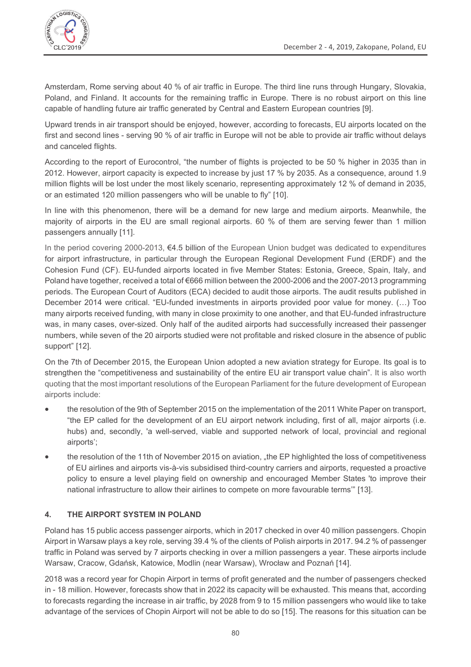

Amsterdam, Rome serving about 40 % of air traffic in Europe. The third line runs through Hungary, Slovakia, Poland, and Finland. It accounts for the remaining traffic in Europe. There is no robust airport on this line capable of handling future air traffic generated by Central and Eastern European countries [9].

Upward trends in air transport should be enjoyed, however, according to forecasts, EU airports located on the first and second lines - serving 90 % of air traffic in Europe will not be able to provide air traffic without delays and canceled flights.

According to the report of Eurocontrol, "the number of flights is projected to be 50 % higher in 2035 than in 2012. However, airport capacity is expected to increase by just 17 % by 2035. As a consequence, around 1.9 million flights will be lost under the most likely scenario, representing approximately 12 % of demand in 2035, or an estimated 120 million passengers who will be unable to fly" [10].

In line with this phenomenon, there will be a demand for new large and medium airports. Meanwhile, the majority of airports in the EU are small regional airports. 60 % of them are serving fewer than 1 million passengers annually [11].

In the period covering 2000-2013, €4.5 billion of the European Union budget was dedicated to expenditures for airport infrastructure, in particular through the European Regional Development Fund (ERDF) and the Cohesion Fund (CF). EU-funded airports located in five Member States: Estonia, Greece, Spain, Italy, and Poland have together, received a total of €666 million between the 2000-2006 and the 2007-2013 programming periods. The European Court of Auditors (ECA) decided to audit those airports. The audit results published in December 2014 were critical. "EU-funded investments in airports provided poor value for money. (...) Too many airports received funding, with many in close proximity to one another, and that EU-funded infrastructure was, in many cases, over-sized. Only half of the audited airports had successfully increased their passenger numbers, while seven of the 20 airports studied were not profitable and risked closure in the absence of public support" [12].

On the 7th of December 2015, the European Union adopted a new aviation strategy for Europe. Its goal is to strengthen the "competitiveness and sustainability of the entire EU air transport value chain". It is also worth quoting that the most important resolutions of the European Parliament for the future development of European airports include:

- the resolution of the 9th of September 2015 on the implementation of the 2011 White Paper on transport, "the EP called for the development of an EU airport network including, first of all, major airports (i.e. hubs) and, secondly, 'a well-served, viable and supported network of local, provincial and regional airports':
- the resolution of the 11th of November 2015 on aviation, "the EP highlighted the loss of competitiveness  $\blacksquare$ of EU airlines and airports vis-à-vis subsidised third-country carriers and airports, requested a proactive policy to ensure a level playing field on ownership and encouraged Member States 'to improve their national infrastructure to allow their airlines to compete on more favourable terms" [13].

### $\blacktriangle$ THE AIRPORT SYSTEM IN POLAND

Poland has 15 public access passenger airports, which in 2017 checked in over 40 million passengers. Chopin Airport in Warsaw plays a key role, serving 39.4 % of the clients of Polish airports in 2017. 94.2 % of passenger traffic in Poland was served by 7 airports checking in over a million passengers a year. These airports include Warsaw, Cracow, Gdańsk, Katowice, Modlin (near Warsaw), Wrocław and Poznań [14].

2018 was a record year for Chopin Airport in terms of profit generated and the number of passengers checked in - 18 million. However, forecasts show that in 2022 its capacity will be exhausted. This means that, according to forecasts regarding the increase in air traffic, by 2028 from 9 to 15 million passengers who would like to take advantage of the services of Chopin Airport will not be able to do so [15]. The reasons for this situation can be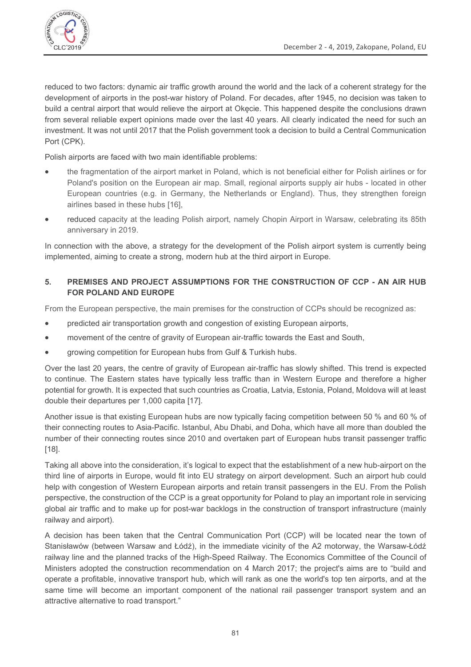reduced to two factors: dynamic air traffic growth around the world and the lack of a coherent strategy for the development of airports in the post-war history of Poland. For decades, after 1945, no decision was taken to build a central airport that would relieve the airport at Okecie. This happened despite the conclusions drawn from several reliable expert opinions made over the last 40 years. All clearly indicated the need for such an investment. It was not until 2017 that the Polish government took a decision to build a Central Communication Port (CPK).

Polish airports are faced with two main identifiable problems:

- the fragmentation of the airport market in Poland, which is not beneficial either for Polish airlines or for Poland's position on the European air map. Small, regional airports supply air hubs - located in other European countries (e.g. in Germany, the Netherlands or England). Thus, they strengthen foreign airlines based in these hubs [16].
- reduced capacity at the leading Polish airport, namely Chopin Airport in Warsaw, celebrating its 85th  $\bullet$ anniversary in 2019.

In connection with the above, a strategy for the development of the Polish airport system is currently being implemented, aiming to create a strong, modern hub at the third airport in Europe.

### PREMISES AND PROJECT ASSUMPTIONS FOR THE CONSTRUCTION OF CCP - AN AIR HUB  $5<sub>1</sub>$ **FOR POLAND AND EUROPE**

From the European perspective, the main premises for the construction of CCPs should be recognized as:

- predicted air transportation growth and congestion of existing European airports,  $\blacksquare$
- movement of the centre of gravity of European air-traffic towards the East and South,
- growing competition for European hubs from Gulf & Turkish hubs.  $\bullet$

Over the last 20 years, the centre of gravity of European air-traffic has slowly shifted. This trend is expected to continue. The Eastern states have typically less traffic than in Western Europe and therefore a higher potential for growth. It is expected that such countries as Croatia, Latvia, Estonia, Poland, Moldova will at least double their departures per 1,000 capita [17].

Another issue is that existing European hubs are now typically facing competition between 50 % and 60 % of their connecting routes to Asia-Pacific. Istanbul, Abu Dhabi, and Doha, which have all more than doubled the number of their connecting routes since 2010 and overtaken part of European hubs transit passenger traffic  $[18]$ .

Taking all above into the consideration, it's logical to expect that the establishment of a new hub-airport on the third line of airports in Europe, would fit into EU strategy on airport development. Such an airport hub could help with congestion of Western European airports and retain transit passengers in the EU. From the Polish perspective, the construction of the CCP is a great opportunity for Poland to play an important role in servicing global air traffic and to make up for post-war backlogs in the construction of transport infrastructure (mainly railway and airport).

A decision has been taken that the Central Communication Port (CCP) will be located near the town of Stanisławów (between Warsaw and Łódź), in the immediate vicinity of the A2 motorway, the Warsaw-Łódź railway line and the planned tracks of the High-Speed Railway. The Economics Committee of the Council of Ministers adopted the construction recommendation on 4 March 2017; the project's aims are to "build and operate a profitable, innovative transport hub, which will rank as one the world's top ten airports, and at the same time will become an important component of the national rail passenger transport system and an attractive alternative to road transport."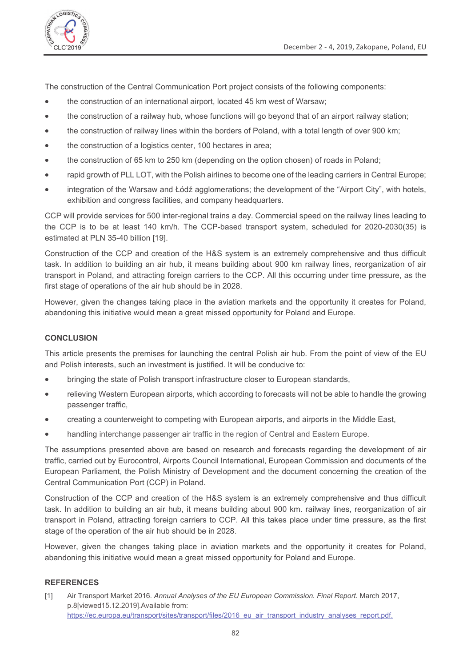

The construction of the Central Communication Port project consists of the following components:

- the construction of an international airport, located 45 km west of Warsaw;  $\bullet$
- the construction of a railway hub, whose functions will go beyond that of an airport railway station;  $\bullet$
- the construction of railway lines within the borders of Poland, with a total length of over 900 km;  $\bullet$
- the construction of a logistics center, 100 hectares in area:  $\bullet$
- the construction of 65 km to 250 km (depending on the option chosen) of roads in Poland;
- rapid growth of PLL LOT, with the Polish airlines to become one of the leading carriers in Central Europe;  $\blacksquare$
- integration of the Warsaw and Łódź agglomerations: the development of the "Airport City", with hotels. exhibition and congress facilities, and company headquarters.

CCP will provide services for 500 inter-regional trains a day. Commercial speed on the railway lines leading to the CCP is to be at least 140 km/h. The CCP-based transport system, scheduled for 2020-2030(35) is estimated at PLN 35-40 billion [19].

Construction of the CCP and creation of the H&S system is an extremely comprehensive and thus difficult task. In addition to building an air hub, it means building about 900 km railway lines, reorganization of air transport in Poland, and attracting foreign carriers to the CCP. All this occurring under time pressure, as the first stage of operations of the air hub should be in 2028.

However, given the changes taking place in the aviation markets and the opportunity it creates for Poland, abandoning this initiative would mean a great missed opportunity for Poland and Europe.

### **CONCLUSION**

This article presents the premises for launching the central Polish air hub. From the point of view of the EU and Polish interests, such an investment is justified. It will be conducive to:

- bringing the state of Polish transport infrastructure closer to European standards,  $\bullet$
- relieving Western European airports, which according to forecasts will not be able to handle the growing passenger traffic,
- creating a counterweight to competing with European airports, and airports in the Middle East,
- handling interchange passenger air traffic in the region of Central and Eastern Europe.  $\bullet$

The assumptions presented above are based on research and forecasts regarding the development of air traffic, carried out by Eurocontrol, Airports Council International, European Commission and documents of the European Parliament, the Polish Ministry of Development and the document concerning the creation of the Central Communication Port (CCP) in Poland.

Construction of the CCP and creation of the H&S system is an extremely comprehensive and thus difficult task. In addition to building an air hub, it means building about 900 km. railway lines, reorganization of air transport in Poland, attracting foreign carriers to CCP. All this takes place under time pressure, as the first stage of the operation of the air hub should be in 2028.

However, given the changes taking place in aviation markets and the opportunity it creates for Poland, abandoning this initiative would mean a great missed opportunity for Poland and Europe.

### **REFERENCES**

Air Transport Market 2016. Annual Analyses of the EU European Commission. Final Report. March 2017,  $[11]$ p.8[viewed15.12.2019].Available from: https://ec.europa.eu/transport/sites/transport/files/2016 eu air transport industry analyses report.pdf.